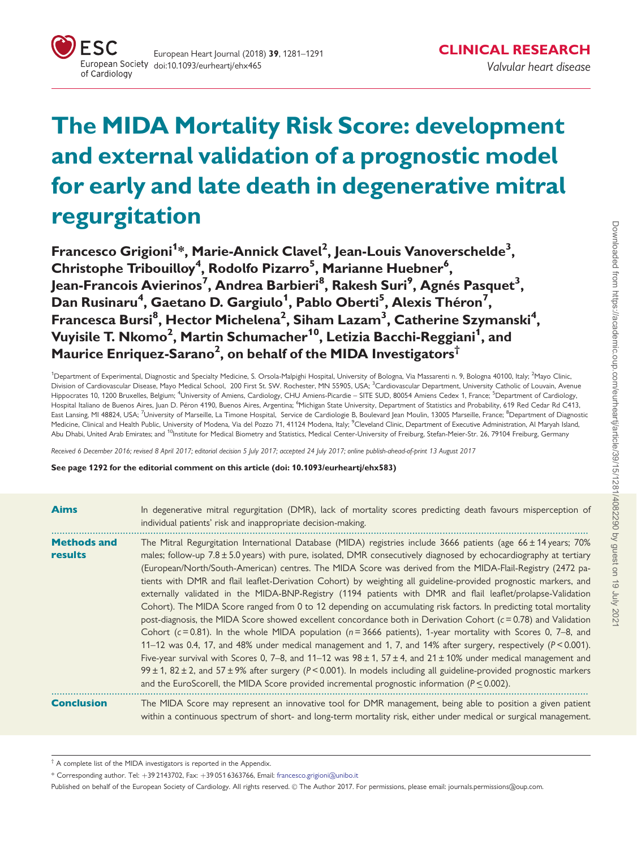

# The MIDA Mortality Risk Score: development and external validation of a prognostic model for early and late death in degenerative mitral regurgitation

Francesco Grigioni<sup>1\*</sup>, Marie-Annick Clavel<sup>2</sup>, Jean-Louis Vanoverschelde<sup>3</sup>, Christophe Tribouilloy<sup>4</sup>, Rodolfo Pizarro<sup>5</sup>, Marianne Huebner<sup>6</sup>, Jean-Francois Avierinos<sup>7</sup>, Andrea Barbieri<sup>8</sup>, Rakesh Suri<sup>9</sup>, Agnés Pasquet<sup>3</sup>, Dan Rusinaru<sup>4</sup>, Gaetano D. Gargiulo<sup>1</sup>, Pablo Oberti<sup>5</sup>, Alexis Théron<sup>7</sup>, Francesca Bursi $^{\rm 8}$ , Hector Michelena $^{\rm 2}$ , Siham Lazam $^{\rm 3}$ , Catherine Szymanski $^{\rm 4}$ , Vuyisile T. Nkomo<sup>2</sup>, Martin Schumacher<sup>10</sup>, Letizia Bacchi-Reggiani<sup>1</sup>, and Maurice Enriquez-Sarano<sup>2</sup>, on behalf of the MIDA Investigators<sup>†</sup>

<sup>1</sup>Department of Experimental, Diagnostic and Specialty Medicine, S. Orsola-Malpighi Hospital, University of Bologna, Via Massarenti n. 9, Bologna 40100, Italy; <sup>2</sup>Mayo Clinic, Division of Cardiovascular Disease, Mayo Medical School, 200 First St. SW. Rochester, MN 55905, USA; <sup>3</sup>Cardiovascular Department, University Catholic of Louvain, Avenue Hippocrates 10, 1200 Bruxelles, Belgium; <sup>4</sup>University of Amiens, Cardiology, CHU Amiens-Picardie – SITE SUD, 80054 Amiens Cedex 1, France; <sup>5</sup>Department of Cardiology Hospital Italiano de Buenos Aires, Juan D. Péron 4190, Buenos Aires, Argentina; <sup>6</sup>Michigan State University, Department of Statistics and Probability, 619 Red Cedar Rd C413, East Lansing, MI 48824, USA; <sup>7</sup>University of Marseille, La Timone Hospital, Service de Cardiologie B, Boulevard Jean Moulin, 13005 Marseille, France; <sup>8</sup>Department of Diagnostic Medicine, Clinical and Health Public, University of Modena, Via del Pozzo 71, 41124 Modena, Italy; <sup>9</sup>Cleveland Clinic, Department of Executive Administration, Al Maryah Island, Abu Dhabi, United Arab Emirates; and <sup>10</sup>Institute for Medical Biometry and Statistics, Medical Center-University of Freiburg, Stefan-Meier-Str. 26, 79104 Freiburg, Germany

Received 6 December 2016; revised 8 April 2017; editorial decision 5 July 2017; accepted 24 July 2017; online publish-ahead-of-print 13 August 2017

See page 1292 for the editorial comment on this article (doi: 10.1093/eurheartj/ehx583)

| <b>Aims</b>                   | In degenerative mitral regurgitation (DMR), lack of mortality scores predicting death favours misperception of<br>individual patients' risk and inappropriate decision-making.                                                                                                                                                                                                                                                                                                                                                                                                                                                                                                                                                                                                                                                                                                                                                                                                                                                                                                                                                                                                                                                                                                                                                                                                                                                                                   |
|-------------------------------|------------------------------------------------------------------------------------------------------------------------------------------------------------------------------------------------------------------------------------------------------------------------------------------------------------------------------------------------------------------------------------------------------------------------------------------------------------------------------------------------------------------------------------------------------------------------------------------------------------------------------------------------------------------------------------------------------------------------------------------------------------------------------------------------------------------------------------------------------------------------------------------------------------------------------------------------------------------------------------------------------------------------------------------------------------------------------------------------------------------------------------------------------------------------------------------------------------------------------------------------------------------------------------------------------------------------------------------------------------------------------------------------------------------------------------------------------------------|
| <b>Methods and</b><br>results | The Mitral Regurgitation International Database (MIDA) registries include 3666 patients (age 66 ± 14 years; 70%<br>males; follow-up $7.8 \pm 5.0$ years) with pure, isolated, DMR consecutively diagnosed by echocardiography at tertiary<br>(European/North/South-American) centres. The MIDA Score was derived from the MIDA-Flail-Registry (2472 pa-<br>tients with DMR and flail leaflet-Derivation Cohort) by weighting all guideline-provided prognostic markers, and<br>externally validated in the MIDA-BNP-Registry (1194 patients with DMR and flail leaflet/prolapse-Validation<br>Cohort). The MIDA Score ranged from 0 to 12 depending on accumulating risk factors. In predicting total mortality<br>post-diagnosis, the MIDA Score showed excellent concordance both in Derivation Cohort ( $c = 0.78$ ) and Validation<br>Cohort ( $c = 0.81$ ). In the whole MIDA population ( $n = 3666$ patients), 1-year mortality with Scores 0, 7–8, and<br>11–12 was 0.4, 17, and 48% under medical management and 1, 7, and 14% after surgery, respectively ( $P < 0.001$ ).<br>Five-year survival with Scores 0, 7–8, and 11–12 was $98 \pm 1$ , $57 \pm 4$ , and $21 \pm 10\%$ under medical management and<br>$99 \pm 1$ , 82 $\pm$ 2, and 57 $\pm$ 9% after surgery (P < 0.001). In models including all guideline-provided prognostic markers<br>and the EuroScorell, the MIDA Score provided incremental prognostic information ( $P \le 0.002$ ). |
| <b>Conclusion</b>             | The MIDA Score may represent an innovative tool for DMR management, being able to position a given patient<br>within a continuous spectrum of short- and long-term mortality risk, either under medical or surgical management.                                                                                                                                                                                                                                                                                                                                                                                                                                                                                                                                                                                                                                                                                                                                                                                                                                                                                                                                                                                                                                                                                                                                                                                                                                  |

<sup>†</sup> A complete list of the MIDA investigators is reported in the Appendix.

<sup>\*</sup> Corresponding author. Tel: +39 2143702, Fax: +39 051 6363766, Email: [francesco.grigioni@unibo.it](mailto:)

Published on behalf of the European Society of Cardiology. All rights reserved. © The Author 2017. For permissions, please email: journals.permissions@oup.com.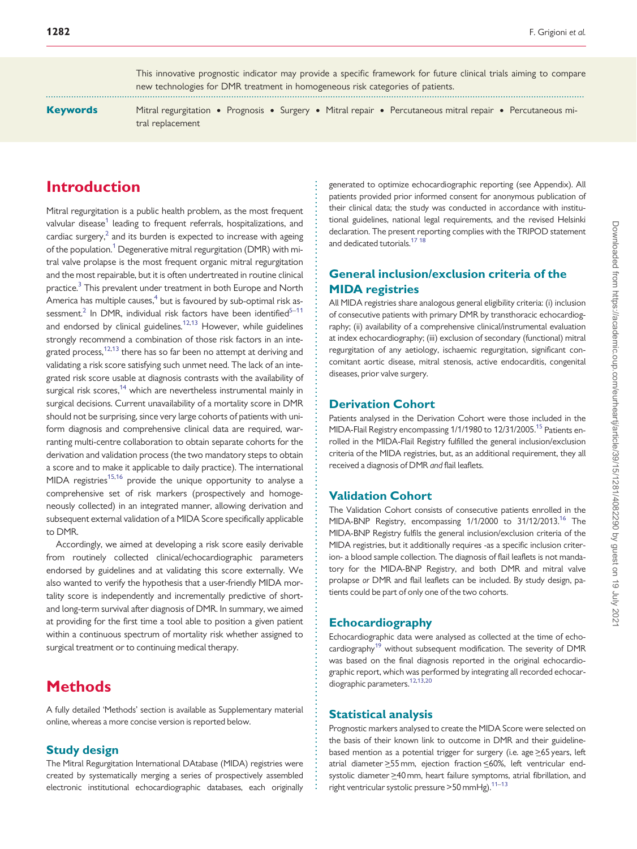This innovative prognostic indicator may provide a specific framework for future clinical trials aiming to compare new technologies for DMR treatment in homogeneous risk categories of patients.

Keywords Mitral regurgitation • Prognosis • Surgery • Mitral repair • Percutaneous mitral repair • Percutaneous mitral replacement

### Introduction

Mitral regurgitation is a public health problem, as the most frequent valvular disease<sup>1</sup> leading to frequent referrals, hospitalizations, and cardiac surgery, $<sup>2</sup>$  $<sup>2</sup>$  $<sup>2</sup>$  and its burden is expected to increase with ageing</sup> of the population.<sup>1</sup> Degenerative mitral regurgitation (DMR) with mitral valve prolapse is the most frequent organic mitral regurgitation and the most repairable, but it is often undertreated in routine clinical practice[.3](#page-9-0) This prevalent under treatment in both Europe and North America has multiple causes, $4$  but is favoured by sub-optimal risk assessment.<sup>2</sup> In DMR, individual risk factors have been identified<sup>5-11</sup> and endorsed by clinical guidelines.<sup>[12](#page-9-0),[13](#page-9-0)</sup> However, while guidelines strongly recommend a combination of those risk factors in an inte-grated process,<sup>[12](#page-9-0),[13](#page-9-0)</sup> there has so far been no attempt at deriving and validating a risk score satisfying such unmet need. The lack of an integrated risk score usable at diagnosis contrasts with the availability of surgical risk scores,<sup>[14](#page-9-0)</sup> which are nevertheless instrumental mainly in surgical decisions. Current unavailability of a mortality score in DMR should not be surprising, since very large cohorts of patients with uniform diagnosis and comprehensive clinical data are required, warranting multi-centre collaboration to obtain separate cohorts for the derivation and validation process (the two mandatory steps to obtain a score and to make it applicable to daily practice). The international MIDA registries<sup>15[,16](#page-10-0)</sup> provide the unique opportunity to analyse a comprehensive set of risk markers (prospectively and homogeneously collected) in an integrated manner, allowing derivation and subsequent external validation of a MIDA Score specifically applicable to DMR.

Accordingly, we aimed at developing a risk score easily derivable from routinely collected clinical/echocardiographic parameters endorsed by guidelines and at validating this score externally. We also wanted to verify the hypothesis that a user-friendly MIDA mortality score is independently and incrementally predictive of shortand long-term survival after diagnosis of DMR. In summary, we aimed at providing for the first time a tool able to position a given patient within a continuous spectrum of mortality risk whether assigned to surgical treatment or to continuing medical therapy.

### **Methods**

A fully detailed 'Methods' section is available as Supplementary material online, whereas a more concise version is reported below.

#### Study design

The Mitral Regurgitation International DAtabase (MIDA) registries were created by systematically merging a series of prospectively assembled electronic institutional echocardiographic databases, each originally generated to optimize echocardiographic reporting (see Appendix). All patients provided prior informed consent for anonymous publication of their clinical data; the study was conducted in accordance with institutional guidelines, national legal requirements, and the revised Helsinki declaration. The present reporting complies with the TRIPOD statement and dedicated tutorials.<sup>17</sup><sup>1</sup>

### General inclusion/exclusion criteria of the MIDA registries

All MIDA registries share analogous general eligibility criteria: (i) inclusion of consecutive patients with primary DMR by transthoracic echocardiography; (ii) availability of a comprehensive clinical/instrumental evaluation at index echocardiography; (iii) exclusion of secondary (functional) mitral regurgitation of any aetiology, ischaemic regurgitation, significant concomitant aortic disease, mitral stenosis, active endocarditis, congenital diseases, prior valve surgery.

### Derivation Cohort

Patients analysed in the Derivation Cohort were those included in the MIDA-Flail Registry encompassing 1/1/1980 to 12/31/2005.<sup>15</sup> Patients enrolled in the MIDA-Flail Registry fulfilled the general inclusion/exclusion criteria of the MIDA registries, but, as an additional requirement, they all received a diagnosis of DMR and flail leaflets.

#### Validation Cohort

The Validation Cohort consists of consecutive patients enrolled in the MIDA-BNP Registry, encompassing 1/1/2000 to 31/12/2013.<sup>16</sup> The MIDA-BNP Registry fulfils the general inclusion/exclusion criteria of the MIDA registries, but it additionally requires -as a specific inclusion criterion- a blood sample collection. The diagnosis of flail leaflets is not mandatory for the MIDA-BNP Registry, and both DMR and mitral valve prolapse or DMR and flail leaflets can be included. By study design, patients could be part of only one of the two cohorts.

### Echocardiography

Echocardiographic data were analysed as collected at the time of echo-cardiography<sup>[19](#page-10-0)</sup> without subsequent modification. The severity of DMR was based on the final diagnosis reported in the original echocardiographic report, which was performed by integrating all recorded echocar-diographic parameters.<sup>12,13,[20](#page-10-0)</sup>

### Statistical analysis

. . . . . . . . . . . . . . . . . . . . . . . . . . . . . . . . . . . . . . . . . . . . . . . . . . . . . . . . . . . . . . . . . . . . . . . . . . . . . . . . . . . . . . . . . . . . . . . . . . . . . . . . . . . . . . . . . . . . . . . . . . . . . . . . . . . . . . . . . . . . . . . . .

Prognostic markers analysed to create the MIDA Score were selected on the basis of their known link to outcome in DMR and their guidelinebased mention as a potential trigger for surgery (i.e. age  $\geq$  65 years, left atrial diameter > 55 mm, ejection fraction <a></a>60%, left ventricular endsystolic diameter  $\geq$ 40 mm, heart failure symptoms, atrial fibrillation, and right ventricular systolic pressure >50 mmHg).<sup>11-13</sup>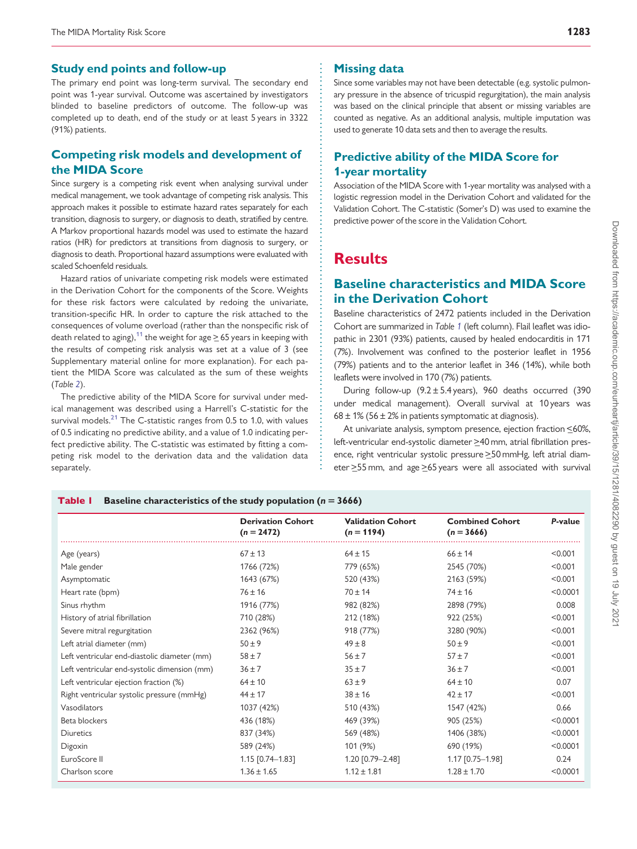#### <span id="page-2-0"></span>. Study end points and follow-up

The primary end point was long-term survival. The secondary end point was 1-year survival. Outcome was ascertained by investigators blinded to baseline predictors of outcome. The follow-up was completed up to death, end of the study or at least 5 years in 3322 (91%) patients.

### Competing risk models and development of the MIDA Score

Since surgery is a competing risk event when analysing survival under medical management, we took advantage of competing risk analysis. This approach makes it possible to estimate hazard rates separately for each transition, diagnosis to surgery, or diagnosis to death, stratified by centre. A Markov proportional hazards model was used to estimate the hazard ratios (HR) for predictors at transitions from diagnosis to surgery, or diagnosis to death. Proportional hazard assumptions were evaluated with scaled Schoenfeld residuals.

Hazard ratios of univariate competing risk models were estimated in the Derivation Cohort for the components of the Score. Weights for these risk factors were calculated by redoing the univariate, transition-specific HR. In order to capture the risk attached to the consequences of volume overload (rather than the nonspecific risk of death related to aging),<sup>[11](#page-9-0)</sup> the weight for age  $\geq$  65 years in keeping with the results of competing risk analysis was set at a value of 3 (see Supplementary material online for more explanation). For each patient the MIDA Score was calculated as the sum of these weights (Table [2](#page-3-0)).

The predictive ability of the MIDA Score for survival under medical management was described using a Harrell's C-statistic for the survival models. $21$  The C-statistic ranges from 0.5 to 1.0, with values of 0.5 indicating no predictive ability, and a value of 1.0 indicating perfect predictive ability. The C-statistic was estimated by fitting a competing risk model to the derivation data and the validation data separately.

### Missing data

Since some variables may not have been detectable (e.g. systolic pulmonary pressure in the absence of tricuspid regurgitation), the main analysis was based on the clinical principle that absent or missing variables are counted as negative. As an additional analysis, multiple imputation was used to generate 10 data sets and then to average the results.

### Predictive ability of the MIDA Score for 1-year mortality

Association of the MIDA Score with 1-year mortality was analysed with a logistic regression model in the Derivation Cohort and validated for the Validation Cohort. The C-statistic (Somer's D) was used to examine the predictive power of the score in the Validation Cohort.

### **Results**

### Baseline characteristics and MIDA Score in the Derivation Cohort

Baseline characteristics of 2472 patients included in the Derivation Cohort are summarized in Table 1 (left column). Flail leaflet was idiopathic in 2301 (93%) patients, caused by healed endocarditis in 171 (7%). Involvement was confined to the posterior leaflet in 1956 (79%) patients and to the anterior leaflet in 346 (14%), while both leaflets were involved in 170 (7%) patients.

During follow-up (9.2 ± 5.4 years), 960 deaths occurred (390 under medical management). Overall survival at 10 years was 68  $\pm$  1% (56  $\pm$  2% in patients symptomatic at diagnosis).

At univariate analysis, symptom presence, ejection fraction <60%, left-ventricular end-systolic diameter >40 mm, atrial fibrillation presence, right ventricular systolic pressure  $\geq$ 50 mmHg, left atrial diameter  $\geq$ 55 mm, and age  $\geq$ 65 years were all associated with survival

#### **Table 1** Baseline characteristics of the study population  $(n = 3666)$

|                                              | <b>Derivation Cohort</b><br>$(n = 2472)$ | <b>Validation Cohort</b><br>$(n = 1194)$ | <b>Combined Cohort</b><br>$(n = 3666)$ | P-value  |
|----------------------------------------------|------------------------------------------|------------------------------------------|----------------------------------------|----------|
| Age (years)                                  | $67 \pm 13$                              | $64 \pm 15$                              | $66 \pm 14$                            | < 0.001  |
| Male gender                                  | 1766 (72%)                               | 779 (65%)                                | 2545 (70%)                             | < 0.001  |
| Asymptomatic                                 | 1643 (67%)                               | 520 (43%)                                | 2163 (59%)                             | < 0.001  |
| Heart rate (bpm)                             | $76 \pm 16$                              | $70 \pm 14$                              | $74 \pm 16$                            | < 0.0001 |
| Sinus rhythm                                 | 1916 (77%)                               | 982 (82%)                                | 2898 (79%)                             | 0.008    |
| History of atrial fibrillation               | 710 (28%)                                | 212 (18%)                                | 922 (25%)                              | < 0.001  |
| Severe mitral regurgitation                  | 2362 (96%)                               | 918 (77%)                                | 3280 (90%)                             | < 0.001  |
| Left atrial diameter (mm)                    | $50 + 9$                                 | $49 \pm 8$                               | $50 + 9$                               | < 0.001  |
| Left ventricular end-diastolic diameter (mm) | $58 + 7$                                 | $56 + 7$                                 | $57 + 7$                               | < 0.001  |
| Left ventricular end-systolic dimension (mm) | $36 + 7$                                 | $35 + 7$                                 | $36 + 7$                               | < 0.001  |
| Left ventricular ejection fraction (%)       | $64 \pm 10$                              | $63 \pm 9$                               | $64 \pm 10$                            | 0.07     |
| Right ventricular systolic pressure (mmHg)   | $44 \pm 17$                              | $38 \pm 16$                              | $42 \pm 17$                            | < 0.001  |
| Vasodilators                                 | 1037 (42%)                               | 510 (43%)                                | 1547 (42%)                             | 0.66     |
| Beta blockers                                | 436 (18%)                                | 469 (39%)                                | 905 (25%)                              | < 0.0001 |
| <b>Diuretics</b>                             | 837 (34%)                                | 569 (48%)                                | 1406 (38%)                             | < 0.0001 |
| Digoxin                                      | 589 (24%)                                | 101 (9%)                                 | 690 (19%)                              | < 0.0001 |
| EuroScore II                                 | $1.15$ [0.74-1.83]                       | 1.20 [0.79-2.48]                         | $1.17$ [0.75-1.98]                     | 0.24     |
| Charlson score                               | $1.36 \pm 1.65$                          | $1.12 \pm 1.81$                          | $1.28 \pm 1.70$                        | < 0.0001 |

. . . . . . . . . . . . . . . . . . . . . . . . . . . . . . . . . . . . . . . . . . . . . . . . . . . . . . . . . . . . . . . . . . . . . . . . . . . . . . . . . . . . . . . . . . . . . . . .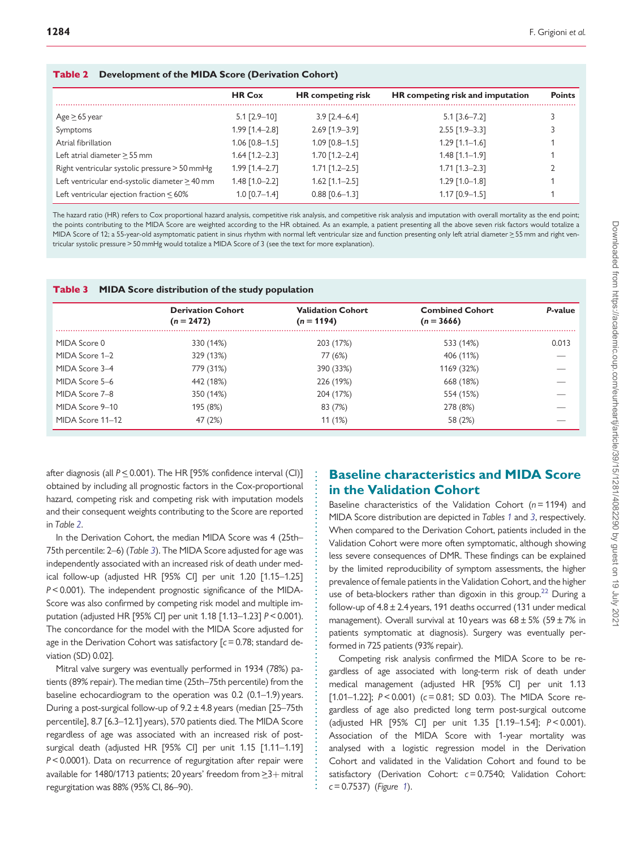<span id="page-3-0"></span>

| Table 2                                        | Development of the MIDA Score (Derivation Cohort) |                          |                                  |               |
|------------------------------------------------|---------------------------------------------------|--------------------------|----------------------------------|---------------|
|                                                | <b>HR Cox</b>                                     | <b>HR</b> competing risk | HR competing risk and imputation | <b>Points</b> |
| Age $\geq$ 65 year                             | $5.1$ $[2.9 - 10]$                                | $3.9$ [2.4–6.4]          | $5.1$ [3.6-7.2]                  |               |
| Symptoms                                       | $1.99$ $[1.4 - 2.8]$                              | $2.69$ [1.9-3.9]         | $2.55$ [1.9-3.3]                 |               |
| Atrial fibrillation                            | $1.06$ $[0.8 - 1.5]$                              | $1.09$ $[0.8 - 1.5]$     | $1.29$ [1.1-1.6]                 |               |
| Left atrial diameter > 55 mm                   | $1.64$ [1.2-2.3]                                  | $1.70$ $[1.2 - 2.4]$     | $1.48$ [1.1-1.9]                 |               |
| Right ventricular systolic pressure > 50 mmHg  | $1.99$ [1.4-2.7]                                  | $1.71$ $[1.2 - 2.5]$     | $1.71$ [1.3-2.3]                 |               |
| Left ventricular end-systolic diameter > 40 mm | $1.48$ $[1.0 - 2.2]$                              | $1.62$ [1.1-2.5]         | $1.29$ $[1.0 - 1.8]$             |               |
| Left ventricular ejection fraction $\leq 60\%$ | $1.0$ $[0.7 - 1.4]$                               | $0.88$ [0.6-1.3]         | $1.17$ $[0.9 - 1.5]$             |               |

The hazard ratio (HR) refers to Cox proportional hazard analysis, competitive risk analysis, and competitive risk analysis and imputation with overall mortality as the end point; the points contributing to the MIDA Score are weighted according to the HR obtained. As an example, a patient presenting all the above seven risk factors would totalize a MIDA Score of 12; a 55-year-old asymptomatic patient in sinus rhythm with normal left ventricular size and function presenting only left atrial diameter  $\geq$  55 mm and right ventricular systolic pressure > 50 mmHg would totalize a MIDA Score of 3 (see the text for more explanation).

|                  | <b>Derivation Cohort</b><br>$(n = 2472)$ | <b>Validation Cohort</b><br>$(n = 1194)$ | <b>Combined Cohort</b><br>$(n = 3666)$ | P-value |
|------------------|------------------------------------------|------------------------------------------|----------------------------------------|---------|
| MIDA Score 0     | 330 (14%)                                | 203 (17%)                                | 533 (14%)                              | 0.013   |
| MIDA Score 1-2   | 329 (13%)                                | 77 (6%)                                  | 406 (11%)                              |         |
| MIDA Score 3-4   | 779 (31%)                                | 390 (33%)                                | 1169 (32%)                             |         |
| MIDA Score 5-6   | 442 (18%)                                | 226 (19%)                                | 668 (18%)                              |         |
| MIDA Score 7-8   | 350 (14%)                                | 204 (17%)                                | 554 (15%)                              |         |
| MIDA Score 9-10  | 195 (8%)                                 | 83 (7%)                                  | 278 (8%)                               |         |
| MIDA Score 11-12 | 47 (2%)                                  | 11 $(1%)$                                | 58 (2%)                                |         |

. . . . . . . . . . . . . . . . . . . . . . . . . . . . . . . . . . . . . . . . . . . . . . . . . . . . . . . . . . . . . . . . . . . . . . . . . . .

 $T$  Table 3 MIDA Scott  $\mathbf{S}$  MIDA Scott population of the study population of the study population of the study population of the study population of the study population of the study population of the study population

after diagnosis (all  $P < 0.001$ ). The HR [95% confidence interval (CI)] obtained by including all prognostic factors in the Cox-proportional hazard, competing risk and competing risk with imputation models and their consequent weights contributing to the Score are reported in Table 2.

In the Derivation Cohort, the median MIDA Score was 4 (25th– 75th percentile: 2–6) (Table 3). The MIDA Score adjusted for age was independently associated with an increased risk of death under medical follow-up (adjusted HR [95% CI] per unit 1.20 [1.15–1.25] P< 0.001). The independent prognostic significance of the MIDA-Score was also confirmed by competing risk model and multiple imputation (adjusted HR [95% CI] per unit 1.18 [1.13–1.23] P < 0.001). The concordance for the model with the MIDA Score adjusted for age in the Derivation Cohort was satisfactory  $[c = 0.78;$  standard deviation (SD) 0.02].

Mitral valve surgery was eventually performed in 1934 (78%) patients (89% repair). The median time (25th–75th percentile) from the baseline echocardiogram to the operation was 0.2 (0.1–1.9) years. During a post-surgical follow-up of  $9.2 \pm 4.8$  years (median [25–75th percentile], 8.7 [6.3–12.1] years), 570 patients died. The MIDA Score regardless of age was associated with an increased risk of postsurgical death (adjusted HR [95% CI] per unit 1.15 [1.11–1.19] P< 0.0001). Data on recurrence of regurgitation after repair were available for 1480/1713 patients; 20 years' freedom from  $\geq$ 3+ mitral regurgitation was 88% (95% CI, 86–90).

### Baseline characteristics and MIDA Score in the Validation Cohort

Baseline characteristics of the Validation Cohort ( $n = 1194$ ) and MIDA Score distribution are depicted in Tables [1](#page-2-0) and 3, respectively. When compared to the Derivation Cohort, patients included in the Validation Cohort were more often symptomatic, although showing less severe consequences of DMR. These findings can be explained by the limited reproducibility of symptom assessments, the higher prevalence of female patients in the Validation Cohort, and the higher use of beta-blockers rather than digoxin in this group.<sup>22</sup> During a follow-up of  $4.8 \pm 2.4$  years, 191 deaths occurred (131 under medical management). Overall survival at 10 years was  $68 \pm 5\%$  (59  $\pm 7\%$  in patients symptomatic at diagnosis). Surgery was eventually performed in 725 patients (93% repair).

Competing risk analysis confirmed the MIDA Score to be regardless of age associated with long-term risk of death under medical management (adjusted HR [95% CI] per unit 1.13 [1.01–1.22];  $P < 0.001$ ) (c = 0.81; SD 0.03). The MIDA Score regardless of age also predicted long term post-surgical outcome (adjusted HR [95% CI] per unit 1.35 [1.19–1.54]; P< 0.001). Association of the MIDA Score with 1-year mortality was analysed with a logistic regression model in the Derivation Cohort and validated in the Validation Cohort and found to be satisfactory (Derivation Cohort: c = 0.7540; Validation Cohort:  $c = 0.7537$ ) (Figure [1](#page-4-0)).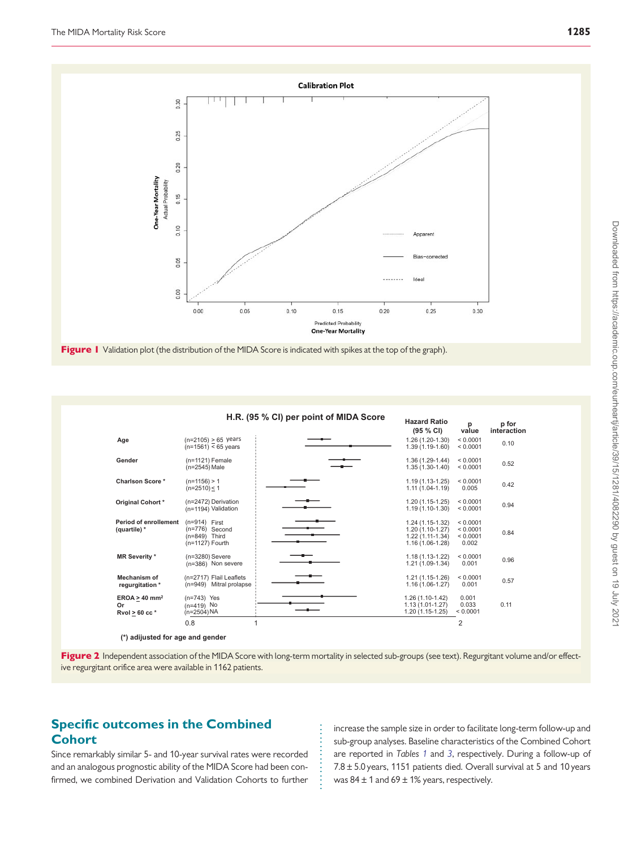<span id="page-4-0"></span>

|                                                         |                                                                             | <b>Hazard Ratio</b><br>$(95 \% CI)$                                             | D<br>value                                    | p for<br>interaction |
|---------------------------------------------------------|-----------------------------------------------------------------------------|---------------------------------------------------------------------------------|-----------------------------------------------|----------------------|
| Age                                                     | $(n=2105) > 65$ years<br>$(n=1561) < 65$ years                              | $1.26(1.20-1.30)$<br>$1.39(1.19-1.60)$                                          | < 0.0001<br>< 0.0001                          | 0.10                 |
| Gender                                                  | $(n=1121)$ Female<br>(n=2545) Male                                          | $1.36(1.29-1.44)$<br>$1.35(1.30-1.40)$                                          | < 0.0001<br>< 0.0001                          | 0.52                 |
| <b>Charlson Score*</b>                                  | $(n=1156) > 1$<br>$(n=2510) \leq 1$                                         | $1.19(1.13 - 1.25)$<br>$1.11(1.04 - 1.19)$                                      | < 0.0001<br>0.005                             | 0.42                 |
| Original Cohort*                                        | (n=2472) Derivation<br>(n=1194) Validation                                  | $1.20(1.15-1.25)$<br>$1.19(1.10-1.30)$                                          | < 0.0001<br>< 0.0001                          | 0.94                 |
| <b>Period of enrollement</b><br>(quartile) *            | $(n=914)$ First<br>$(n=776)$ Second<br>$(n=849)$ Third<br>$(n=1127)$ Fourth | $1.24(1.15-1.32)$<br>$1.20(1.10-1.27)$<br>$1.22(1.11-1.34)$<br>1.16 (1.06-1.28) | < 0.0001<br>< 0.0001<br>${}< 0.0001$<br>0.002 | 0.84                 |
| <b>MR Severity</b> *                                    | (n=3280) Severe<br>(n=386) Non severe                                       | $1.18(1.13-1.22)$<br>$1.21(1.09-1.34)$                                          | ${}< 0.0001$<br>0.001                         | 0.96                 |
| Mechanism of<br>regurgitation *                         | (n=2717) Flail Leaflets<br>(n=949) Mitral prolapse                          | $1.21(1.15-1.26)$<br>$1.16(1.06-1.27)$                                          | ${}< 0.0001$<br>0.001                         | 0.57                 |
| $EROA > 40$ mm <sup>2</sup><br>Or<br>$Rvol > 60$ cc $*$ | $(n=743)$ Yes<br>$(n=419)$ No<br>$(n=2504) NA$                              | $1.26(1.10-1.42)$<br>$1.13(1.01 - 1.27)$<br>$1.20(1.15-1.25)$                   | 0.001<br>0.033<br>< 0.0001                    | 0.11                 |
|                                                         | 0.8<br>$\mathbf{1}$                                                         |                                                                                 | $\overline{2}$                                |                      |

Figure 2 Independent association of the MIDA Score with long-term mortality in selected sub-groups (see text). Regurgitant volume and/or effective regurgitant orifice area were available in 1162 patients.

> . . . . . . . . . . . . . .

### Specific outcomes in the Combined **Cohort**

Since remarkably similar 5- and 10-year survival rates were recorded and an analogous prognostic ability of the MIDA Score had been confirmed, we combined Derivation and Validation Cohorts to further

increase the sample size in order to facilitate long-term follow-up and sub-group analyses. Baseline characteristics of the Combined Cohort are reported in Tables [1](#page-2-0) and [3](#page-3-0), respectively. During a follow-up of 7.8 ± 5.0 years, 1151 patients died. Overall survival at 5 and 10 years was  $84 \pm 1$  and  $69 \pm 1\%$  years, respectively.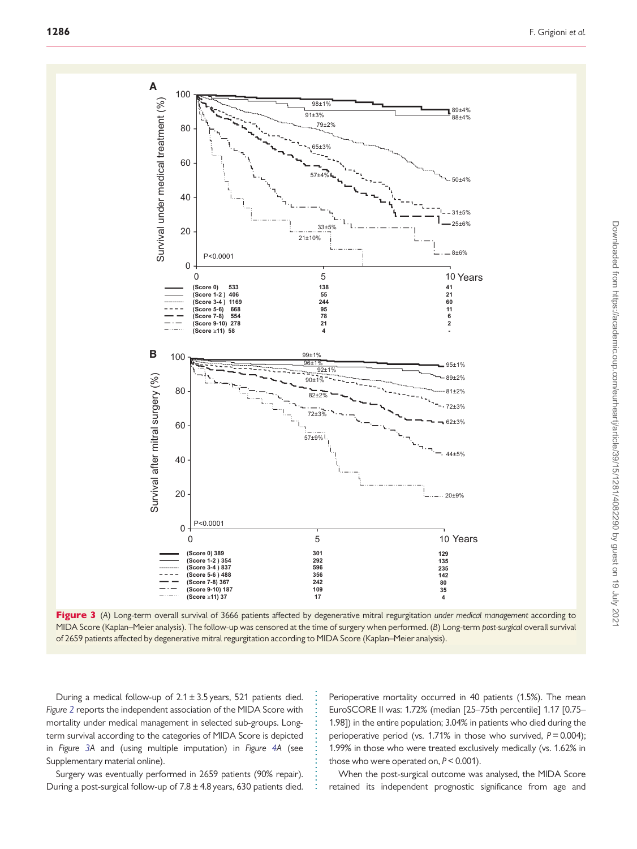<span id="page-5-0"></span>

Figure 3 (A) Long-term overall survival of 3666 patients affected by degenerative mitral regurgitation under medical management according to MIDA Score (Kaplan–Meier analysis). The follow-up was censored at the time of surgery when performed. (B) Long-term post-surgical overall survival of 2659 patients affected by degenerative mitral regurgitation according to MIDA Score (Kaplan–Meier analysis).

. . . . . . . . . . . . . . . . . . . . . . .

During a medical follow-up of  $2.1 \pm 3.5$  years, 521 patients died. Figure [2](#page-4-0) reports the independent association of the MIDA Score with mortality under medical management in selected sub-groups. Longterm survival according to the categories of MIDA Score is depicted in Figure 3A and (using multiple imputation) in Figure [4A](#page-6-0) (see Supplementary material online).

Surgery was eventually performed in 2659 patients (90% repair). During a post-surgical follow-up of  $7.8 \pm 4.8$  years, 630 patients died. Perioperative mortality occurred in 40 patients (1.5%). The mean EuroSCORE II was: 1.72% (median [25–75th percentile] 1.17 [0.75– 1.98]) in the entire population; 3.04% in patients who died during the perioperative period (vs. 1.71% in those who survived,  $P = 0.004$ ); 1.99% in those who were treated exclusively medically (vs. 1.62% in those who were operated on, P< 0.001).

When the post-surgical outcome was analysed, the MIDA Score retained its independent prognostic significance from age and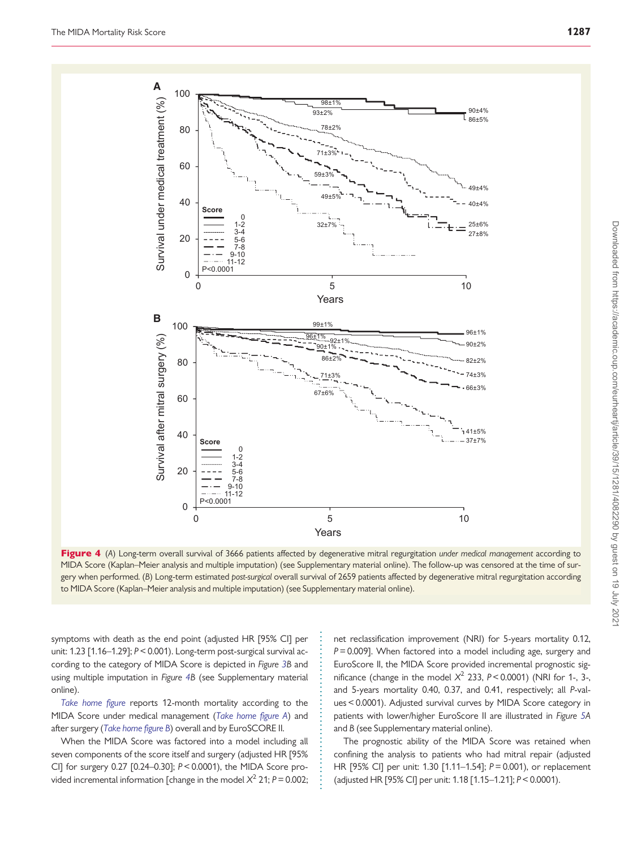<span id="page-6-0"></span>

Figure 4 (A) Long-term overall survival of 3666 patients affected by degenerative mitral regurgitation under medical management according to MIDA Score (Kaplan–Meier analysis and multiple imputation) (see Supplementary material online). The follow-up was censored at the time of surgery when performed. (B) Long-term estimated post-surgical overall survival of 2659 patients affected by degenerative mitral regurgitation according to MIDA Score (Kaplan–Meier analysis and multiple imputation) (see Supplementary material online).

> . . . . . . . . . . . . . . . . . . . . . . . . . . . . . . . . . . . . .

. symptoms with death as the end point (adjusted HR [95% CI] per unit: 1.23 [1.16–1.29]; P< 0.001). Long-term post-surgical survival according to the category of MIDA Score is depicted in Figure [3](#page-5-0)B and using multiple imputation in Figure 4B (see Supplementary material online).

[Take home figure](#page-7-0) reports 12-month mortality according to the MIDA Score under medical management ([Take home figure A](#page-7-0)) and after surgery ([Take home figure B](#page-7-0)) overall and by EuroSCORE II.

When the MIDA Score was factored into a model including all seven components of the score itself and surgery (adjusted HR [95% CI] for surgery 0.27 [0.24–0.30]; P< 0.0001), the MIDA Score provided incremental information [change in the model  $X^2$  21; P = 0.002; net reclassification improvement (NRI) for 5-years mortality 0.12,  $P = 0.009$ ]. When factored into a model including age, surgery and EuroScore II, the MIDA Score provided incremental prognostic significance (change in the model  $X^2$  233, P < 0.0001) (NRI for 1-, 3-, and 5-years mortality 0.40, 0.37, and 0.41, respectively; all P-values < 0.0001). Adjusted survival curves by MIDA Score category in patients with lower/higher EuroScore II are illustrated in Figure [5A](#page-8-0) and B (see Supplementary material online).

The prognostic ability of the MIDA Score was retained when confining the analysis to patients who had mitral repair (adjusted HR [95% CI] per unit: 1.30 [1.11–1.54]; P= 0.001), or replacement (adjusted HR [95% CI] per unit: 1.18 [1.15–1.21]; P< 0.0001).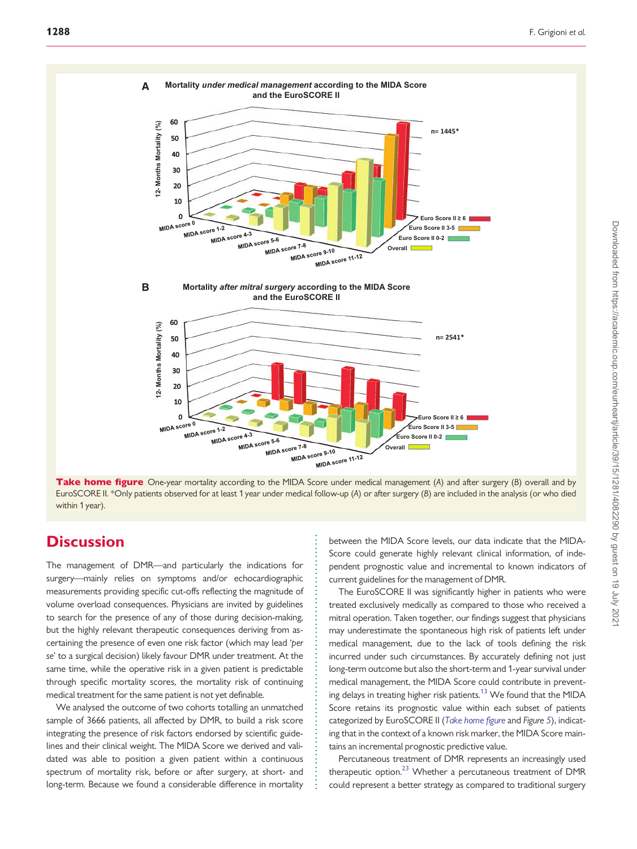<span id="page-7-0"></span>





. . . . . . . . . . . . . . . . . . . . . . . . . . . . . . . . . . . . . . . . . . . . . . . . . . . . . . . . . . . .

### **Discussion**

The management of DMR—and particularly the indications for surgery—mainly relies on symptoms and/or echocardiographic measurements providing specific cut-offs reflecting the magnitude of volume overload consequences. Physicians are invited by guidelines to search for the presence of any of those during decision-making, but the highly relevant therapeutic consequences deriving from ascertaining the presence of even one risk factor (which may lead 'per se' to a surgical decision) likely favour DMR under treatment. At the same time, while the operative risk in a given patient is predictable through specific mortality scores, the mortality risk of continuing medical treatment for the same patient is not yet definable.

We analysed the outcome of two cohorts totalling an unmatched sample of 3666 patients, all affected by DMR, to build a risk score integrating the presence of risk factors endorsed by scientific guidelines and their clinical weight. The MIDA Score we derived and validated was able to position a given patient within a continuous spectrum of mortality risk, before or after surgery, at short- and long-term. Because we found a considerable difference in mortality

between the MIDA Score levels, our data indicate that the MIDA-Score could generate highly relevant clinical information, of independent prognostic value and incremental to known indicators of current guidelines for the management of DMR.

The EuroSCORE II was significantly higher in patients who were treated exclusively medically as compared to those who received a mitral operation. Taken together, our findings suggest that physicians may underestimate the spontaneous high risk of patients left under medical management, due to the lack of tools defining the risk incurred under such circumstances. By accurately defining not just long-term outcome but also the short-term and 1-year survival under medical management, the MIDA Score could contribute in preventing delays in treating higher risk patients.<sup>13</sup> We found that the MIDA Score retains its prognostic value within each subset of patients categorized by EuroSCORE II (Take home figure and Figure [5](#page-8-0)), indicating that in the context of a known risk marker, the MIDA Score maintains an incremental prognostic predictive value.

Percutaneous treatment of DMR represents an increasingly used therapeutic option.<sup>23</sup> Whether a percutaneous treatment of DMR could represent a better strategy as compared to traditional surgery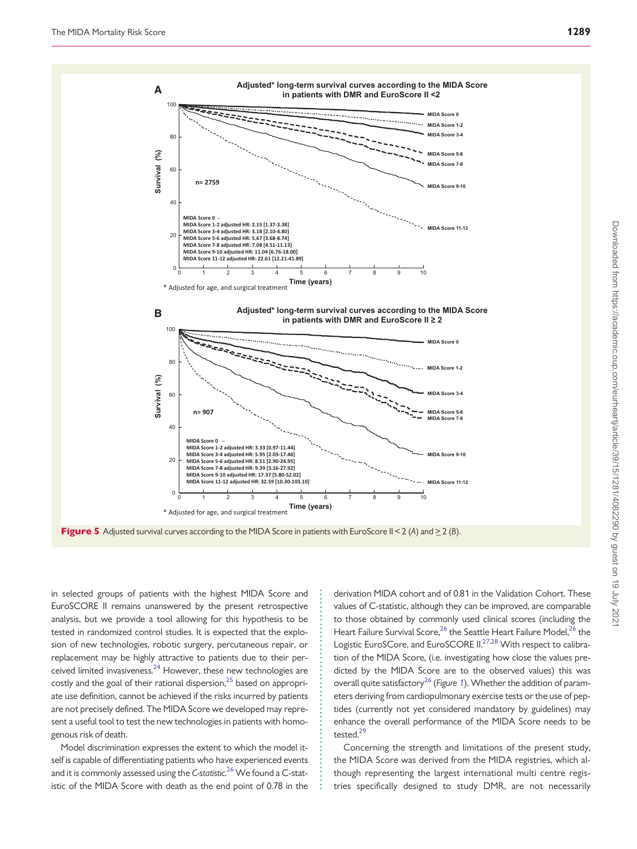100

**A**

<span id="page-8-0"></span>

. . . . . . . . . . . . . . . . . . . . . . . . . . . . . . . . . . . . . . . . . . . . . . .

. in selected groups of patients with the highest MIDA Score and EuroSCORE II remains unanswered by the present retrospective analysis, but we provide a tool allowing for this hypothesis to be tested in randomized control studies. It is expected that the explosion of new technologies, robotic surgery, percutaneous repair, or replacement may be highly attractive to patients due to their perceived limited invasiveness. $^{24}$  However, these new technologies are costly and the goal of their rational dispersion,<sup>25</sup> based on appropriate use definition, cannot be achieved if the risks incurred by patients are not precisely defined. The MIDA Score we developed may represent a useful tool to test the new technologies in patients with homogenous risk of death.

Model discrimination expresses the extent to which the model itself is capable of differentiating patients who have experienced events and it is commonly assessed using the C-statistic. $^{26}$  $^{26}$  $^{26}$  We found a C-statistic of the MIDA Score with death as the end point of 0.78 in the

derivation MIDA cohort and of 0.81 in the Validation Cohort. These values of C-statistic, although they can be improved, are comparable to those obtained by commonly used clinical scores (including the Heart Failure Survival Score,<sup>26</sup> the Seattle Heart Failure Model,<sup>26</sup> the Logistic EuroSCore, and EuroSCORE II.<sup>27,28</sup> With respect to calibration of the MIDA Score, (i.e. investigating how close the values predicted by the MIDA Score are to the observed values) this was overall quite satisfactory<sup>[26](#page-10-0)</sup> (Figure [1](#page-4-0)). Whether the addition of parameters deriving from cardiopulmonary exercise tests or the use of peptides (currently not yet considered mandatory by guidelines) may enhance the overall performance of the MIDA Score needs to be tested.<sup>[29](#page-10-0)</sup>

**MIDA Score 0 MIDA Score 1-2**

**Adjusted\* long-term survival curves according to the MIDA Score in patients with DMR and EuroScore II <2** 

Concerning the strength and limitations of the present study, the MIDA Score was derived from the MIDA registries, which although representing the largest international multi centre registries specifically designed to study DMR, are not necessarily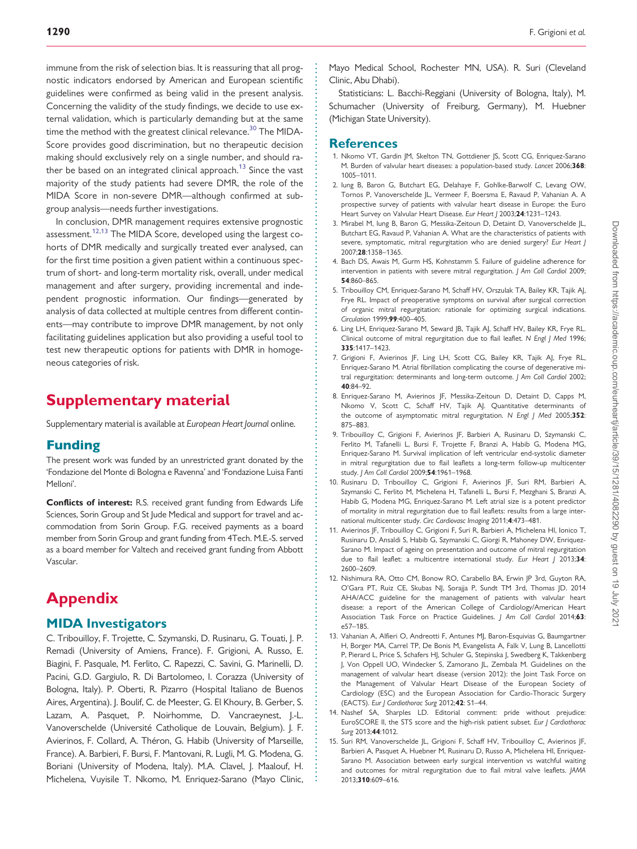<span id="page-9-0"></span>immune from the risk of selection bias. It is reassuring that all prognostic indicators endorsed by American and European scientific guidelines were confirmed as being valid in the present analysis. Concerning the validity of the study findings, we decide to use external validation, which is particularly demanding but at the same time the method with the greatest clinical relevance.<sup>[30](#page-10-0)</sup> The MIDA-Score provides good discrimination, but no therapeutic decision making should exclusively rely on a single number, and should rather be based on an integrated clinical approach.<sup>13</sup> Since the vast majority of the study patients had severe DMR, the role of the MIDA Score in non-severe DMR—although confirmed at subgroup analysis—needs further investigations.

In conclusion, DMR management requires extensive prognostic assessment.<sup>12,13</sup> The MIDA Score, developed using the largest cohorts of DMR medically and surgically treated ever analysed, can for the first time position a given patient within a continuous spectrum of short- and long-term mortality risk, overall, under medical management and after surgery, providing incremental and independent prognostic information. Our findings—generated by analysis of data collected at multiple centres from different continents—may contribute to improve DMR management, by not only facilitating guidelines application but also providing a useful tool to test new therapeutic options for patients with DMR in homogeneous categories of risk.

## Supplementary material

Supplementary material is available at European Heart Journal online.

### Funding

The present work was funded by an unrestricted grant donated by the 'Fondazione del Monte di Bologna e Ravenna' and 'Fondazione Luisa Fanti Melloni'.

**Conflicts of interest:** R.S. received grant funding from Edwards Life Sciences, Sorin Group and St Jude Medical and support for travel and accommodation from Sorin Group. F.G. received payments as a board member from Sorin Group and grant funding from 4Tech. M.E.-S. served as a board member for Valtech and received grant funding from Abbott Vascular.

# Appendix

#### MIDA Investigators

C. Tribouilloy, F. Trojette, C. Szymanski, D. Rusinaru, G. Touati, J. P. Remadi (University of Amiens, France). F. Grigioni, A. Russo, E. Biagini, F. Pasquale, M. Ferlito, C. Rapezzi, C. Savini, G. Marinelli, D. Pacini, G.D. Gargiulo, R. Di Bartolomeo, I. Corazza (University of Bologna, Italy). P. Oberti, R. Pizarro (Hospital Italiano de Buenos Aires, Argentina). J. Boulif, C. de Meester, G. El Khoury, B. Gerber, S. Lazam, A. Pasquet, P. Noirhomme, D. Vancraeynest, J.-L. Vanoverschelde (Université Catholique de Louvain, Belgium). J. F. Avierinos, F. Collard, A. Théron, G. Habib (University of Marseille, France). A. Barbieri, F. Bursi, F. Mantovani, R. Lugli, M. G. Modena, G. Boriani (University of Modena, Italy). M.A. Clavel, J. Maalouf, H. Michelena, Vuyisile T. Nkomo, M. Enriquez-Sarano (Mayo Clinic, Mayo Medical School, Rochester MN, USA). R. Suri (Cleveland Clinic, Abu Dhabi).

Statisticians: L. Bacchi-Reggiani (University of Bologna, Italy), M. Schumacher (University of Freiburg, Germany), M. Huebner (Michigan State University).

#### **References**

- 1. Nkomo VT, Gardin JM, Skelton TN, Gottdiener JS, Scott CG, Enriquez-Sarano M. Burden of valvular heart diseases: a population-based study. Lancet 2006;368: 1005–1011.
- 2. Iung B, Baron G, Butchart EG, Delahaye F, Gohlke-Barwolf C, Levang OW, Tornos P, Vanoverschelde JL, Vermeer F, Boersma E, Ravaud P, Vahanian A. A prospective survey of patients with valvular heart disease in Europe: the Euro Heart Survey on Valvular Heart Disease. Eur Heart J 2003;24:1231–1243.
- 3. Mirabel M, Iung B, Baron G, Messika-Zeitoun D, Detaint D, Vanoverschelde JL, Butchart EG, Ravaud P, Vahanian A. What are the characteristics of patients with severe, symptomatic, mitral regurgitation who are denied surgery? Eur Heart J 2007;28:1358–1365.
- 4. Bach DS, Awais M, Gurm HS, Kohnstamm S. Failure of guideline adherence for intervention in patients with severe mitral regurgitation. J Am Coll Cardiol 2009; 54:860–865.
- 5. Tribouilloy CM, Enriquez-Sarano M, Schaff HV, Orszulak TA, Bailey KR, Tajik AJ, Frye RL. Impact of preoperative symptoms on survival after surgical correction of organic mitral regurgitation: rationale for optimizing surgical indications. Circulation 1999;99:400–405.
- 6. Ling LH, Enriquez-Sarano M, Seward JB, Tajik AJ, Schaff HV, Bailey KR, Frye RL. Clinical outcome of mitral regurgitation due to flail leaflet. N Engl J Med 1996; 335:1417–1423.
- 7. Grigioni F, Avierinos JF, Ling LH, Scott CG, Bailey KR, Tajik AJ, Frye RL, Enriquez-Sarano M. Atrial fibrillation complicating the course of degenerative mitral regurgitation: determinants and long-term outcome. J Am Coll Cardiol 2002; 40:84–92.
- 8. Enriquez-Sarano M, Avierinos JF, Messika-Zeitoun D, Detaint D, Capps M, Nkomo V, Scott C, Schaff HV, Tajik AJ. Quantitative determinants of the outcome of asymptomatic mitral regurgitation. N Engl J Med 2005;352: 875–883.
- 9. Tribouilloy C, Grigioni F, Avierinos JF, Barbieri A, Rusinaru D, Szymanski C, Ferlito M, Tafanelli L, Bursi F, Trojette F, Branzi A, Habib G, Modena MG, Enriquez-Sarano M. Survival implication of left ventricular end-systolic diameter in mitral regurgitation due to flail leaflets a long-term follow-up multicenter study. J Am Coll Cardiol 2009;54:1961-1968.
- 10. Rusinaru D, Tribouilloy C, Grigioni F, Avierinos JF, Suri RM, Barbieri A, Szymanski C, Ferlito M, Michelena H, Tafanelli L, Bursi F, Mezghani S, Branzi A, Habib G, Modena MG, Enriquez-Sarano M. Left atrial size is a potent predictor of mortality in mitral regurgitation due to flail leaflets: results from a large international multicenter study. Circ Cardiovasc Imaging 2011;4:473–481.
- 11. Avierinos JF, Tribouilloy C, Grigioni F, Suri R, Barbieri A, Michelena HI, Ionico T, Rusinaru D, Ansaldi S, Habib G, Szymanski C, Giorgi R, Mahoney DW, Enriquez-Sarano M. Impact of ageing on presentation and outcome of mitral regurgitation due to flail leaflet: a multicentre international study. Eur Heart J 2013;34: 2600–2609.
- 12. Nishimura RA, Otto CM, Bonow RO, Carabello BA, Erwin JP 3rd, Guyton RA, O'Gara PT, Ruiz CE, Skubas NJ, Sorajja P, Sundt TM 3rd, Thomas JD. 2014 AHA/ACC guideline for the management of patients with valvular heart disease: a report of the American College of Cardiology/American Heart Association Task Force on Practice Guidelines. J Am Coll Cardiol 2014;63: e57–185.
- 13. Vahanian A, Alfieri O, Andreotti F, Antunes MJ, Baron-Esquivias G, Baumgartner H, Borger MA, Carrel TP, De Bonis M, Evangelista A, Falk V, Lung B, Lancellotti P, Pierard L, Price S, Schafers HJ, Schuler G, Stepinska J, Swedberg K, Takkenberg J, Von Oppell UO, Windecker S, Zamorano JL, Zembala M. Guidelines on the management of valvular heart disease (version 2012): the Joint Task Force on the Management of Valvular Heart Disease of the European Society of Cardiology (ESC) and the European Association for Cardio-Thoracic Surgery (EACTS). Eur J Cardiothorac Surg 2012;42: S1–44.
- 14. Nashef SA, Sharples LD. Editorial comment: pride without prejudice: EuroSCORE II, the STS score and the high-risk patient subset. Eur J Cardiothorac Surg 2013;44:1012.
- 15. Suri RM, Vanoverschelde JL, Grigioni F, Schaff HV, Tribouilloy C, Avierinos JF, Barbieri A, Pasquet A, Huebner M, Rusinaru D, Russo A, Michelena HI, Enriquez-Sarano M. Association between early surgical intervention vs watchful waiting and outcomes for mitral regurgitation due to flail mitral valve leaflets. JAMA 2013;310:609–616.

. . . . . . . . . . . . . . . . . . . . . . . . . . . . . . . . . . . . . . . . . . . . . . . . . . . . . . . . . . . . . . . . . . . . . . . . . . . . . . . . . . . . . . . . . . . . . . . . . . . . . . . . . . . . . . . . . . . . . . . . . . . . . . . . . . . . . . . . . . . . . . . . . . . . . . . . . . . . . . . . . . . . . . . . . .